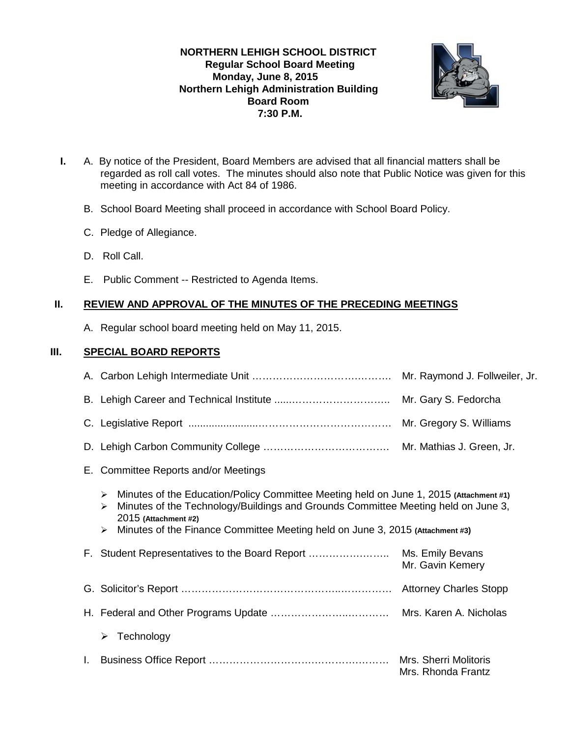## **NORTHERN LEHIGH SCHOOL DISTRICT Regular School Board Meeting Monday, June 8, 2015 Northern Lehigh Administration Building Board Room 7:30 P.M.**



- **I.** A. By notice of the President, Board Members are advised that all financial matters shall be regarded as roll call votes. The minutes should also note that Public Notice was given for this meeting in accordance with Act 84 of 1986.
	- B. School Board Meeting shall proceed in accordance with School Board Policy.
	- C. Pledge of Allegiance.
	- D. Roll Call.
	- E. Public Comment -- Restricted to Agenda Items.

## **II. REVIEW AND APPROVAL OF THE MINUTES OF THE PRECEDING MEETINGS**

A. Regular school board meeting held on May 11, 2015.

## **III. SPECIAL BOARD REPORTS**

|    |                                                                                                                                                                                                                                                                                                                                                            | Mr. Raymond J. Follweiler, Jr.              |  |  |  |  |
|----|------------------------------------------------------------------------------------------------------------------------------------------------------------------------------------------------------------------------------------------------------------------------------------------------------------------------------------------------------------|---------------------------------------------|--|--|--|--|
|    |                                                                                                                                                                                                                                                                                                                                                            |                                             |  |  |  |  |
|    |                                                                                                                                                                                                                                                                                                                                                            |                                             |  |  |  |  |
|    |                                                                                                                                                                                                                                                                                                                                                            |                                             |  |  |  |  |
|    | E. Committee Reports and/or Meetings                                                                                                                                                                                                                                                                                                                       |                                             |  |  |  |  |
|    | Minutes of the Education/Policy Committee Meeting held on June 1, 2015 (Attachment #1)<br>$\triangleright$<br>Minutes of the Technology/Buildings and Grounds Committee Meeting held on June 3,<br>$\blacktriangleright$<br>2015 (Attachment #2)<br>Minutes of the Finance Committee Meeting held on June 3, 2015 (Attachment #3)<br>$\blacktriangleright$ |                                             |  |  |  |  |
|    | F. Student Representatives to the Board Report                                                                                                                                                                                                                                                                                                             | Ms. Emily Bevans<br>Mr. Gavin Kemery        |  |  |  |  |
|    |                                                                                                                                                                                                                                                                                                                                                            |                                             |  |  |  |  |
|    |                                                                                                                                                                                                                                                                                                                                                            |                                             |  |  |  |  |
|    | Technology<br>➤                                                                                                                                                                                                                                                                                                                                            |                                             |  |  |  |  |
| L. |                                                                                                                                                                                                                                                                                                                                                            | Mrs. Sherri Molitoris<br>Mrs. Rhonda Frantz |  |  |  |  |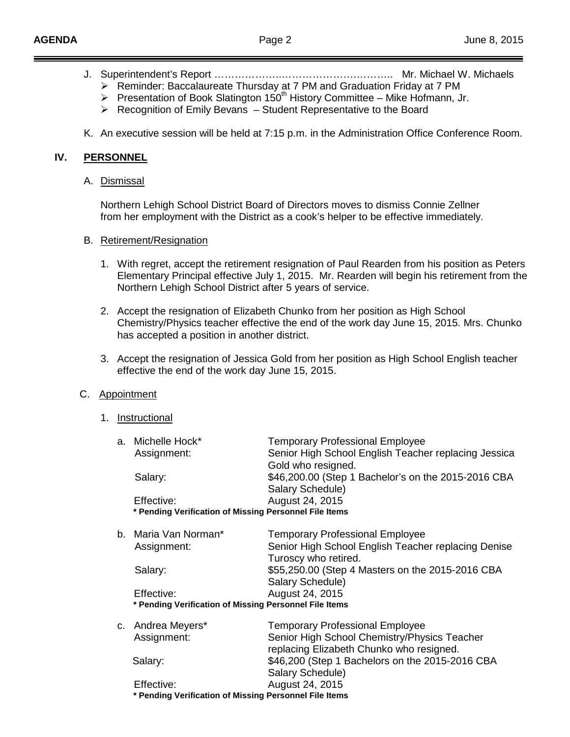- J. Superintendent's Report ………………..………………….……….. Mr. Michael W. Michaels
	- $\triangleright$  Reminder: Baccalaureate Thursday at 7 PM and Graduation Friday at 7 PM
	- Presentation of Book Slatington 150<sup>th</sup> History Committee Mike Hofmann, Jr.
	- $\triangleright$  Recognition of Emily Bevans Student Representative to the Board
- K. An executive session will be held at 7:15 p.m. in the Administration Office Conference Room.

#### **IV. PERSONNEL**

#### A. <u>Dismissal</u>

Northern Lehigh School District Board of Directors moves to dismiss Connie Zellner from her employment with the District as a cook's helper to be effective immediately.

#### B. Retirement/Resignation

- 1. With regret, accept the retirement resignation of Paul Rearden from his position as Peters Elementary Principal effective July 1, 2015. Mr. Rearden will begin his retirement from the Northern Lehigh School District after 5 years of service.
- 2. Accept the resignation of Elizabeth Chunko from her position as High School Chemistry/Physics teacher effective the end of the work day June 15, 2015. Mrs. Chunko has accepted a position in another district.
- 3. Accept the resignation of Jessica Gold from her position as High School English teacher effective the end of the work day June 15, 2015.

## C. Appointment

1. Instructional

| a. Michelle Hock*<br>Assignment:                                     | <b>Temporary Professional Employee</b><br>Senior High School English Teacher replacing Jessica<br>Gold who resigned.  |  |  |  |
|----------------------------------------------------------------------|-----------------------------------------------------------------------------------------------------------------------|--|--|--|
| Salary:                                                              | \$46,200.00 (Step 1 Bachelor's on the 2015-2016 CBA<br>Salary Schedule)                                               |  |  |  |
| Effective:<br>* Pending Verification of Missing Personnel File Items | August 24, 2015                                                                                                       |  |  |  |
| b. Maria Van Norman*<br>Assignment:                                  | <b>Temporary Professional Employee</b><br>Senior High School English Teacher replacing Denise<br>Turoscy who retired. |  |  |  |
| Salary:                                                              | \$55,250.00 (Step 4 Masters on the 2015-2016 CBA<br>Salary Schedule)                                                  |  |  |  |
| Effective:                                                           | August 24, 2015                                                                                                       |  |  |  |
| * Pending Verification of Missing Personnel File Items               |                                                                                                                       |  |  |  |
| c. Andrea Meyers*                                                    | <b>Temporary Professional Employee</b>                                                                                |  |  |  |
| Assignment:                                                          | Senior High School Chemistry/Physics Teacher<br>replacing Elizabeth Chunko who resigned.                              |  |  |  |
| Salary:                                                              | \$46,200 (Step 1 Bachelors on the 2015-2016 CBA<br>Salary Schedule)                                                   |  |  |  |
| Effective:                                                           | August 24, 2015                                                                                                       |  |  |  |
| * Pending Verification of Missing Personnel File Items               |                                                                                                                       |  |  |  |
|                                                                      |                                                                                                                       |  |  |  |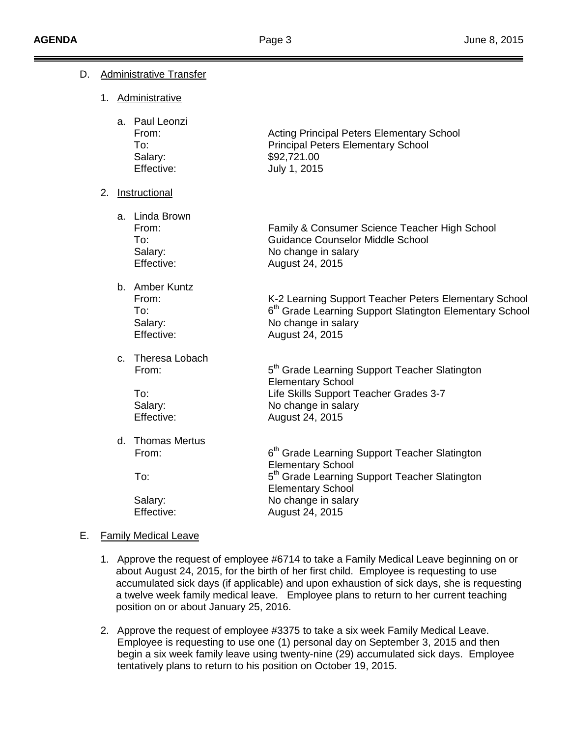| D. | <b>Administrative Transfer</b> |                  |                                                            |                                                                                                                                                                                |  |  |
|----|--------------------------------|------------------|------------------------------------------------------------|--------------------------------------------------------------------------------------------------------------------------------------------------------------------------------|--|--|
|    |                                |                  | 1. Administrative                                          |                                                                                                                                                                                |  |  |
|    |                                |                  | a. Paul Leonzi<br>From:<br>To:<br>Salary:<br>Effective:    | <b>Acting Principal Peters Elementary School</b><br><b>Principal Peters Elementary School</b><br>\$92,721.00<br>July 1, 2015                                                   |  |  |
|    |                                | 2. Instructional |                                                            |                                                                                                                                                                                |  |  |
|    |                                |                  | a. Linda Brown<br>From:<br>To:<br>Salary:<br>Effective:    | Family & Consumer Science Teacher High School<br>Guidance Counselor Middle School<br>No change in salary<br>August 24, 2015                                                    |  |  |
|    |                                |                  | b. Amber Kuntz<br>From:<br>To:<br>Salary:<br>Effective:    | K-2 Learning Support Teacher Peters Elementary School<br>6 <sup>th</sup> Grade Learning Support Slatington Elementary School<br>No change in salary<br>August 24, 2015         |  |  |
|    |                                |                  | c. Theresa Lobach<br>From:<br>To:<br>Salary:<br>Effective: | 5 <sup>th</sup> Grade Learning Support Teacher Slatington<br><b>Elementary School</b><br>Life Skills Support Teacher Grades 3-7<br>No change in salary<br>August 24, 2015      |  |  |
|    |                                |                  | d. Thomas Mertus<br>From:<br>To:                           | 6 <sup>th</sup> Grade Learning Support Teacher Slatington<br><b>Elementary School</b><br>5 <sup>th</sup> Grade Learning Support Teacher Slatington<br><b>Elementary School</b> |  |  |
|    |                                |                  | Salary:<br>Effective:                                      | No change in salary<br>August 24, 2015                                                                                                                                         |  |  |
| Е. |                                |                  | <b>Family Medical Leave</b>                                |                                                                                                                                                                                |  |  |

- 1. Approve the request of employee #6714 to take a Family Medical Leave beginning on or about August 24, 2015, for the birth of her first child. Employee is requesting to use accumulated sick days (if applicable) and upon exhaustion of sick days, she is requesting a twelve week family medical leave. Employee plans to return to her current teaching position on or about January 25, 2016.
- 2. Approve the request of employee #3375 to take a six week Family Medical Leave. Employee is requesting to use one (1) personal day on September 3, 2015 and then begin a six week family leave using twenty-nine (29) accumulated sick days. Employee tentatively plans to return to his position on October 19, 2015.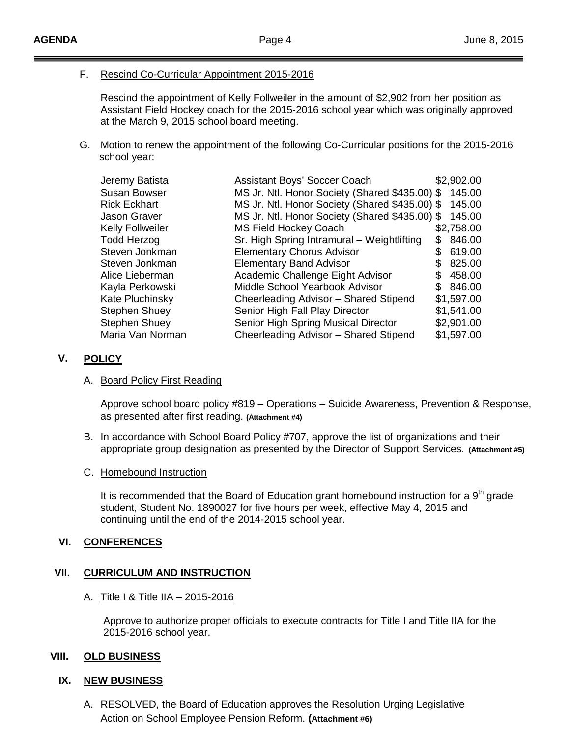# F. Rescind Co-Curricular Appointment 2015-2016

Rescind the appointment of Kelly Follweiler in the amount of \$2,902 from her position as Assistant Field Hockey coach for the 2015-2016 school year which was originally approved at the March 9, 2015 school board meeting.

G. Motion to renew the appointment of the following Co-Curricular positions for the 2015-2016 school year:

| Jeremy Batista       | Assistant Boys' Soccer Coach                   |     | \$2,902.00 |
|----------------------|------------------------------------------------|-----|------------|
| <b>Susan Bowser</b>  | MS Jr. Ntl. Honor Society (Shared \$435.00) \$ |     | 145.00     |
| <b>Rick Eckhart</b>  | MS Jr. Ntl. Honor Society (Shared \$435.00) \$ |     | 145.00     |
| <b>Jason Graver</b>  | MS Jr. Ntl. Honor Society (Shared \$435.00) \$ |     | 145.00     |
| Kelly Follweiler     | <b>MS Field Hockey Coach</b>                   |     | \$2,758.00 |
| <b>Todd Herzog</b>   | Sr. High Spring Intramural - Weightlifting     | æ.  | 846.00     |
| Steven Jonkman       | <b>Elementary Chorus Advisor</b>               |     | 619.00     |
| Steven Jonkman       | <b>Elementary Band Advisor</b>                 |     | 825.00     |
| Alice Lieberman      | Academic Challenge Eight Advisor               | S   | 458.00     |
| Kayla Perkowski      | Middle School Yearbook Advisor                 | \$. | 846.00     |
| Kate Pluchinsky      | Cheerleading Advisor - Shared Stipend          |     | \$1,597.00 |
| <b>Stephen Shuey</b> | Senior High Fall Play Director                 |     | \$1,541.00 |
| <b>Stephen Shuey</b> | Senior High Spring Musical Director            |     | \$2,901.00 |
| Maria Van Norman     | Cheerleading Advisor - Shared Stipend          |     | \$1,597.00 |

## **V. POLICY**

#### A. Board Policy First Reading

Approve school board policy #819 – Operations – Suicide Awareness, Prevention & Response, as presented after first reading. **(Attachment #4)**

B. In accordance with School Board Policy #707, approve the list of organizations and their appropriate group designation as presented by the Director of Support Services. **(Attachment #5)**

#### C. Homebound Instruction

It is recommended that the Board of Education grant homebound instruction for a  $9<sup>th</sup>$  grade student, Student No. 1890027 for five hours per week, effective May 4, 2015 and continuing until the end of the 2014-2015 school year.

## **VI. CONFERENCES**

## **VII. CURRICULUM AND INSTRUCTION**

A. <u>Title I & Title IIA – 2015-2016</u>

Approve to authorize proper officials to execute contracts for Title I and Title IIA for the 2015-2016 school year.

#### **VIII. OLD BUSINESS**

## **IX. NEW BUSINESS**

A. RESOLVED, the Board of Education approves the Resolution Urging Legislative Action on School Employee Pension Reform. **(Attachment #6)**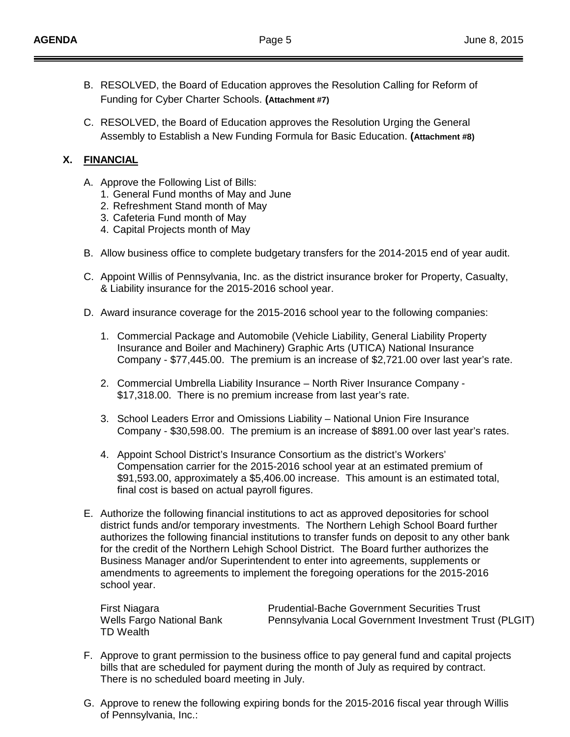- B. RESOLVED, the Board of Education approves the Resolution Calling for Reform of Funding for Cyber Charter Schools. **(Attachment #7)**
- C. RESOLVED, the Board of Education approves the Resolution Urging the General Assembly to Establish a New Funding Formula for Basic Education. **(Attachment #8)**

# **X. FINANCIAL**

- A. Approve the Following List of Bills:
	- 1. General Fund months of May and June
	- 2. Refreshment Stand month of May
	- 3. Cafeteria Fund month of May
	- 4. Capital Projects month of May
- B. Allow business office to complete budgetary transfers for the 2014-2015 end of year audit.
- C. Appoint Willis of Pennsylvania, Inc. as the district insurance broker for Property, Casualty, & Liability insurance for the 2015-2016 school year.
- D. Award insurance coverage for the 2015-2016 school year to the following companies:
	- 1. Commercial Package and Automobile (Vehicle Liability, General Liability Property Insurance and Boiler and Machinery) Graphic Arts (UTICA) National Insurance Company - \$77,445.00. The premium is an increase of \$2,721.00 over last year's rate.
	- 2. Commercial Umbrella Liability Insurance North River Insurance Company \$17,318.00. There is no premium increase from last year's rate.
	- 3. School Leaders Error and Omissions Liability National Union Fire Insurance Company - \$30,598.00. The premium is an increase of \$891.00 over last year's rates.
	- 4. Appoint School District's Insurance Consortium as the district's Workers' Compensation carrier for the 2015-2016 school year at an estimated premium of \$91,593.00, approximately a \$5,406.00 increase. This amount is an estimated total, final cost is based on actual payroll figures.
- E. Authorize the following financial institutions to act as approved depositories for school district funds and/or temporary investments. The Northern Lehigh School Board further authorizes the following financial institutions to transfer funds on deposit to any other bank for the credit of the Northern Lehigh School District. The Board further authorizes the Business Manager and/or Superintendent to enter into agreements, supplements or amendments to agreements to implement the foregoing operations for the 2015-2016 school year.

TD Wealth

First Niagara<br>
Wells Fargo National Bank<br>
Pennsylvania Local Government Investment Trust Pennsylvania Local Government Investment Trust (PLGIT)

- F. Approve to grant permission to the business office to pay general fund and capital projects bills that are scheduled for payment during the month of July as required by contract. There is no scheduled board meeting in July.
- G. Approve to renew the following expiring bonds for the 2015-2016 fiscal year through Willis of Pennsylvania, Inc.: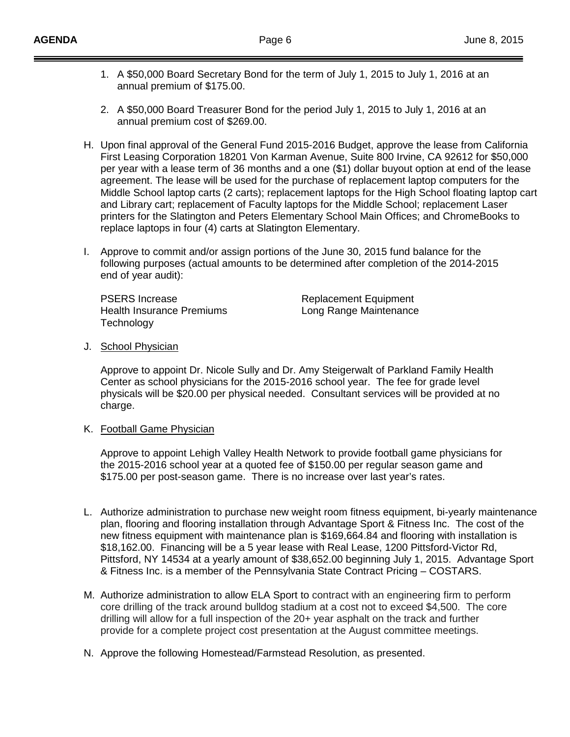- 1. A \$50,000 Board Secretary Bond for the term of July 1, 2015 to July 1, 2016 at an annual premium of \$175.00.
- 2. A \$50,000 Board Treasurer Bond for the period July 1, 2015 to July 1, 2016 at an annual premium cost of \$269.00.
- H. Upon final approval of the General Fund 2015-2016 Budget, approve the lease from California First Leasing Corporation 18201 Von Karman Avenue, Suite 800 Irvine, CA 92612 for \$50,000 per year with a lease term of 36 months and a one (\$1) dollar buyout option at end of the lease agreement. The lease will be used for the purchase of replacement laptop computers for the Middle School laptop carts (2 carts); replacement laptops for the High School floating laptop cart and Library cart; replacement of Faculty laptops for the Middle School; replacement Laser printers for the Slatington and Peters Elementary School Main Offices; and ChromeBooks to replace laptops in four (4) carts at Slatington Elementary.
- I. Approve to commit and/or assign portions of the June 30, 2015 fund balance for the following purposes (actual amounts to be determined after completion of the 2014-2015 end of year audit):

PSERS Increase Replacement Equipment Health Insurance Premiums **Long Range Maintenance Technology** 

#### J. <u>School Physician</u>

Approve to appoint Dr. Nicole Sully and Dr. Amy Steigerwalt of Parkland Family Health Center as school physicians for the 2015-2016 school year. The fee for grade level physicals will be \$20.00 per physical needed. Consultant services will be provided at no charge.

K. <u>Football Game Physician</u>

Approve to appoint Lehigh Valley Health Network to provide football game physicians for the 2015-2016 school year at a quoted fee of \$150.00 per regular season game and \$175.00 per post-season game. There is no increase over last year's rates.

- L. Authorize administration to purchase new weight room fitness equipment, bi-yearly maintenance plan, flooring and flooring installation through Advantage Sport & Fitness Inc. The cost of the new fitness equipment with maintenance plan is \$169,664.84 and flooring with installation is \$18,162.00. Financing will be a 5 year lease with Real Lease, 1200 Pittsford-Victor Rd, Pittsford, NY 14534 at a yearly amount of \$38,652.00 beginning July 1, 2015. Advantage Sport & Fitness Inc. is a member of the Pennsylvania State Contract Pricing – COSTARS.
- M. Authorize administration to allow ELA Sport to contract with an engineering firm to perform core drilling of the track around bulldog stadium at a cost not to exceed \$4,500. The core drilling will allow for a full inspection of the 20+ year asphalt on the track and further provide for a complete project cost presentation at the August committee meetings.
- N. Approve the following Homestead/Farmstead Resolution, as presented.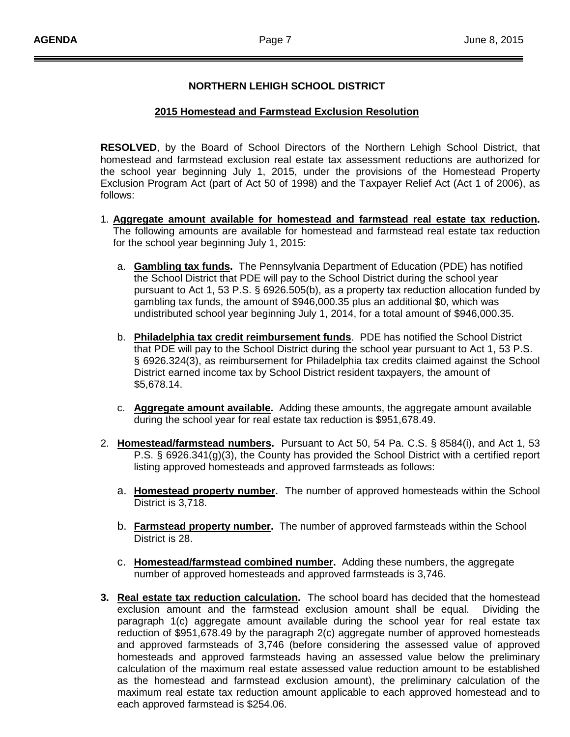#### **NORTHERN LEHIGH SCHOOL DISTRICT**

#### **2015 Homestead and Farmstead Exclusion Resolution**

**RESOLVED**, by the Board of School Directors of the Northern Lehigh School District, that homestead and farmstead exclusion real estate tax assessment reductions are authorized for the school year beginning July 1, 2015, under the provisions of the Homestead Property Exclusion Program Act (part of Act 50 of 1998) and the Taxpayer Relief Act (Act 1 of 2006), as follows:

- 1. **Aggregate amount available for homestead and farmstead real estate tax reduction .** The following amounts are available for homestead and farmstead real estate tax reduction for the school year beginning July 1, 2015:
	- a. **Gambling tax funds.** The Pennsylvania Department of Education (PDE) has notified the School District that PDE will pay to the School District during the school year pursuant to Act 1, 53 P.S. § 6926.505(b), as a property tax reduction allocation funded by gambling tax funds, the amount of \$946,000.35 plus an additional \$0, which was undistributed school year beginning July 1, 2014, for a total amount of \$946,000.35.
	- b. **Philadelphia tax credit reimbursement funds** . PDE has notified the School District that PDE will pay to the School District during the school year pursuant to Act 1, 53 P.S. § 6926.324(3), as reimbursement for Philadelphia tax credits claimed against the School District earned income tax by School District resident taxpayers, the amount of \$5,678.14.
	- c. **Aggregate amount available.** Adding these amounts, the aggregate amount available during the school year for real estate tax reduction is \$951,678.49.
- 2. Homestead/farmstead numbers. Pursuant to Act 50, 54 Pa. C.S. § 8584(i), and Act 1, 53 P.S. § 6926.341(g)(3), the County has provided the School District with a certified report listing approved homesteads and approved farmsteads as follows:
	- a. **Homestead property number .** The number of approved homesteads within the School District is 3,718.
	- b. **Farmstead property number.** The number of approved farmsteads within the School District is 28.
	- c. Homestead/farmstead combined number. Adding these numbers, the aggregate number of approved homesteads and approved farmsteads is 3,746.
- **3. Real estate tax reduction calculation.** The school board has decided that the homestead exclusion amount and the farmstead exclusion amount shall be equal. Dividing the paragraph 1(c) aggregate amount available during the school year for real estate tax reduction of \$951,678.49 by the paragraph 2(c) aggregate number of approved homesteads and approved farmsteads of 3,746 (before considering the assessed value of approved homesteads and approved farmsteads having an assessed value below the preliminary calculation of the maximum real estate assessed value reduction amount to be established as the homestead and farmstead exclusion amount), the preliminary calculation of the maximum real estate tax reduction amount applicable to each approved homestead and to each approved farmstead is \$254.06.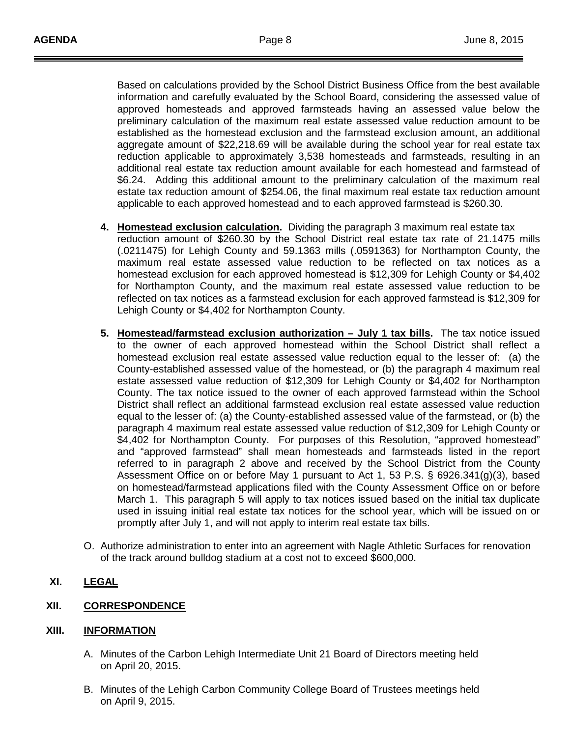Based on calculations provided by the School District Business Office from the best available information and carefully evaluated by the School Board, considering the assessed value of approved homesteads and approved farmsteads having an assessed value below the preliminary calculation of the maximum real estate assessed value reduction amount to be established as the homestead exclusion and the farmstead exclusion amount, an additional aggregate amount of \$22,218.69 will be available during the school year for real estate tax reduction applicable to approximately 3,538 homesteads and farmsteads, resulting in an additional real estate tax reduction amount available for each homestead and farmstead of \$6.24. Adding this additional amount to the preliminary calculation of the maximum real estate tax reduction amount of \$254.06, the final maximum real estate tax reduction amount applicable to each approved homestead and to each approved farmstead is \$260.30.

- **4. Homestead exclusion calculation .** Dividing the paragraph 3 maximum real estate tax reduction amount of \$260.30 by the School District real estate tax rate of 21.1475 mills (.0211475) for Lehigh County and 59.1363 mills (.0591363) for Northampton County, the maximum real estate assessed value reduction to be reflected on tax notices as a homestead exclusion for each approved homestead is \$12,309 for Lehigh County or \$4,402 for Northampton County, and the maximum real estate assessed value reduction to be reflected on tax notices as a farmstead exclusion for each approved farmstead is \$12,309 for Lehigh County or \$4,402 for Northampton County.
- **5. Homestead/farmstead exclusion authorization – July 1 tax bills .** The tax notice issued to the owner of each approved homestead within the School District shall reflect a homestead exclusion real estate assessed value reduction equal to the lesser of: (a) the County-established assessed value of the homestead, or (b) the paragraph 4 maximum real estate assessed value reduction of \$12,309 for Lehigh County or \$4,402 for Northampton County. The tax notice issued to the owner of each approved farmstead within the School District shall reflect an additional farmstead exclusion real estate assessed value reduction equal to the lesser of: (a) the County-established assessed value of the farmstead, or (b) the paragraph 4 maximum real estate assessed value reduction of \$12,309 for Lehigh County or \$4,402 for Northampton County. For purposes of this Resolution, "approved homestead" and "approved farmstead" shall mean homesteads and farmsteads listed in the report referred to in paragraph 2 above and received by the School District from the County Assessment Office on or before May 1 pursuant to Act 1, 53 P.S. § 6926.341(g)(3), based on homestead/farmstead applications filed with the County Assessment Office on or before March 1. This paragraph 5 will apply to tax notices issued based on the initial tax duplicate used in issuing initial real estate tax notices for the school year, which will be issued on or promptly after July 1, and will not apply to interim real estate tax bills.
- O. Authorize administration to enter into an agreement with Nagle Athletic Surfaces for renovation of the track around bulldog stadium at a cost not to exceed \$600,000.
- **XI. LEGAL**

## **XII. CORRESPONDENCE**

#### **XIII. INFORMATION**

- A. Minutes of the Carbon Lehigh Intermediate Unit 21 Board of Directors meeting held on April 20, 2015.
- B. Minutes of the Lehigh Carbon Community College Board of Trustees meetings held on April 9, 2015.